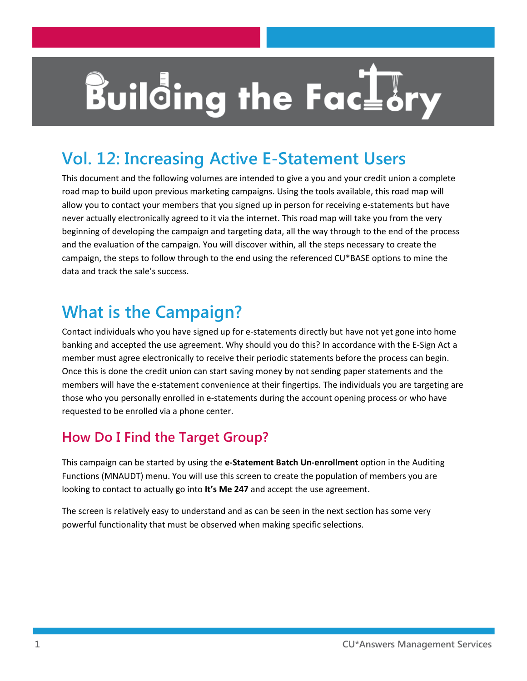# **Building the FacLor**

# **Vol. 12: Increasing Active E-Statement Users**

This document and the following volumes are intended to give a you and your credit union a complete road map to build upon previous marketing campaigns. Using the tools available, this road map will allow you to contact your members that you signed up in person for receiving e-statements but have never actually electronically agreed to it via the internet. This road map will take you from the very beginning of developing the campaign and targeting data, all the way through to the end of the process and the evaluation of the campaign. You will discover within, all the steps necessary to create the campaign, the steps to follow through to the end using the referenced CU\*BASE options to mine the data and track the sale's success.

# **What is the Campaign?**

Contact individuals who you have signed up for e-statements directly but have not yet gone into home banking and accepted the use agreement. Why should you do this? In accordance with the E-Sign Act a member must agree electronically to receive their periodic statements before the process can begin. Once this is done the credit union can start saving money by not sending paper statements and the members will have the e-statement convenience at their fingertips. The individuals you are targeting are those who you personally enrolled in e-statements during the account opening process or who have requested to be enrolled via a phone center.

# **How Do I Find the Target Group?**

This campaign can be started by using the **e-Statement Batch Un-enrollment** option in the Auditing Functions (MNAUDT) menu. You will use this screen to create the population of members you are looking to contact to actually go into **It's Me 247** and accept the use agreement.

The screen is relatively easy to understand and as can be seen in the next section has some very powerful functionality that must be observed when making specific selections.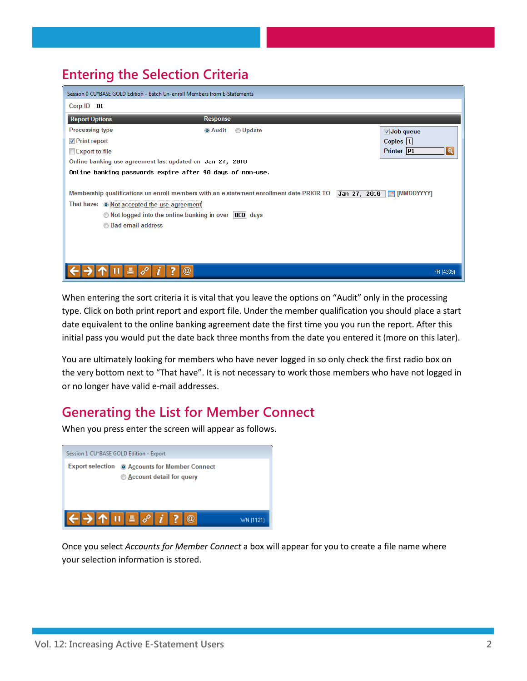## **Entering the Selection Criteria**

| Session 0 CU*BASE GOLD Edition - Batch Un-enroll Members from E-Statements                                                        |                                                                                          |                                     |  |
|-----------------------------------------------------------------------------------------------------------------------------------|------------------------------------------------------------------------------------------|-------------------------------------|--|
| Corp ID 01                                                                                                                        |                                                                                          |                                     |  |
| <b>Report Options</b>                                                                                                             | Response                                                                                 |                                     |  |
| <b>Processing type</b>                                                                                                            | <b>Update</b><br><b>O</b> Audit                                                          | $\sqrt{ }$ Job queue                |  |
| $\nabla$ Print report                                                                                                             |                                                                                          | Copies $ 1 $                        |  |
| Export to file                                                                                                                    |                                                                                          | Printer P1<br>$\mathbf{\Omega}$     |  |
| Online banking use agreement last updated on Jan 27, 2010                                                                         |                                                                                          |                                     |  |
| Online banking passwords expire after 90 days of non-use.                                                                         |                                                                                          |                                     |  |
| That have: O Not accepted the use agreement<br>◯ Not logged into the online banking in over  000 days<br><b>Bad email address</b> | Membership qualifications un-enroll members with an e-statement enrollment date PRIOR TO | Jan 27, 2010 $\boxed{=}$ [MMDDYYYY] |  |
|                                                                                                                                   |                                                                                          | FR (4339)                           |  |

When entering the sort criteria it is vital that you leave the options on "Audit" only in the processing type. Click on both print report and export file. Under the member qualification you should place a start date equivalent to the online banking agreement date the first time you you run the report. After this initial pass you would put the date back three months from the date you entered it (more on this later).

You are ultimately looking for members who have never logged in so only check the first radio box on the very bottom next to "That have". It is not necessary to work those members who have not logged in or no longer have valid e-mail addresses.

## **Generating the List for Member Connect**

When you press enter the screen will appear as follows.



Once you select *Accounts for Member Connect* a box will appear for you to create a file name where your selection information is stored.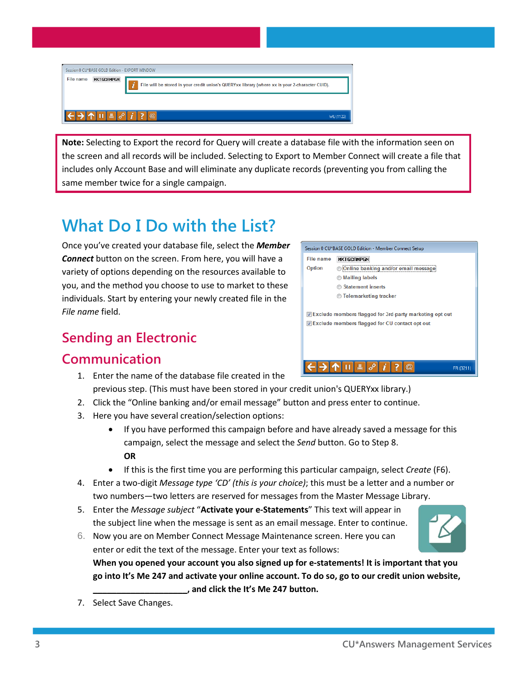Session 0 CU\*BASE GOLD Edition - EXPORT WINDOW File name MKTGCAMPGN  $\hat{L}$  File will be stored in your credit union's QUERYxx library (where xx is your 2-character CUID). WU (1122)

**Note:** Selecting to Export the record for Query will create a database file with the information seen on the screen and all records will be included. Selecting to Export to Member Connect will create a file that includes only Account Base and will eliminate any duplicate records (preventing you from calling the same member twice for a single campaign.

# **What Do I Do with the List?**

Once you've created your database file, select the *Member Connect* button on the screen. From here, you will have a variety of options depending on the resources available to you, and the method you choose to use to market to these individuals. Start by entering your newly created file in the *File name* field.

# **Sending an Electronic**

## **Communication**

- 1. Enter the name of the database file created in the previous step. (This must have been stored in your credit union's QUERYxx library.)
- 2. Click the "Online banking and/or email message" button and press enter to continue.
- 3. Here you have several creation/selection options:
	- If you have performed this campaign before and have already saved a message for this campaign, select the message and select the *Send* button. Go to Step 8. **OR**
	- If this is the first time you are performing this particular campaign, select *Create* (F6).
- 4. Enter a two-digit *Message type 'CD' (this is your choice)*; this must be a letter and a number or two numbers—two letters are reserved for messages from the Master Message Library.
- 5. Enter the *Message subject* "**Activate your e-Statements**" This text will appear in the subject line when the message is sent as an email message. Enter to continue.
- 6. Now you are on Member Connect Message Maintenance screen. Here you can enter or edit the text of the message. Enter your text as follows:

**When you opened your account you also signed up for e-statements! It is important that you go into It's Me 247 and activate your online account. To do so, go to our credit union website, \_\_\_\_\_\_\_\_\_\_\_\_\_\_\_\_\_\_\_\_, and click the It's Me 247 button.** 

7. Select Save Changes.

# ┡╟║┞╟┥┝







Session 0 CU\*BASE GOLD Edition - Member Connect Setup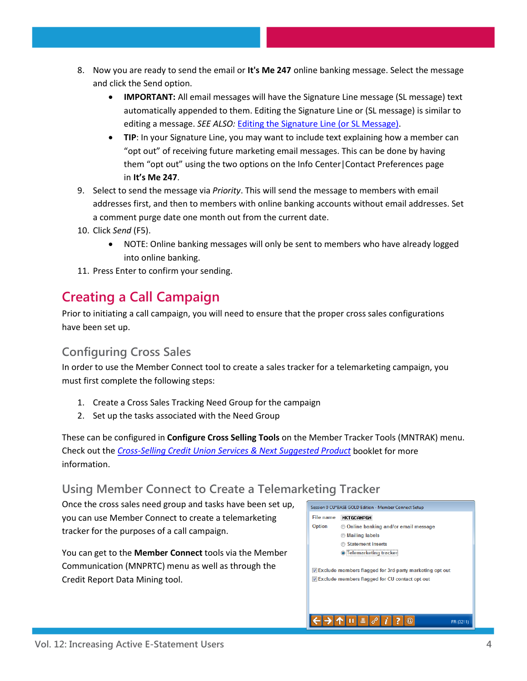- 8. Now you are ready to send the email or **It's Me 247** online banking message. Select the message and click the Send option.
	- **IMPORTANT:** All email messages will have the Signature Line message (SL message) text automatically appended to them. Editing the Signature Line or (SL message) is similar to editing a message. *SEE ALSO:* [Editing the Signature Line \(or SL Message\).](http://www.cuanswers.com/doc/cubase/3162g.htm%23Editing_an_SL_Message)
	- **TIP**: In your Signature Line, you may want to include text explaining how a member can "opt out" of receiving future marketing email messages. This can be done by having them "opt out" using the two options on the Info Center|Contact Preferences page in **It's Me 247**.
- 9. Select to send the message via *Priority*. This will send the message to members with email addresses first, and then to members with online banking accounts without email addresses. Set a comment purge date one month out from the current date.
- 10. Click *Send* (F5).
	- NOTE: Online banking messages will only be sent to members who have already logged into online banking.
- 11. Press Enter to confirm your sending.

# **Creating a Call Campaign**

Prior to initiating a call campaign, you will need to ensure that the proper cross sales configurations have been set up.

#### **Configuring Cross Sales**

In order to use the Member Connect tool to create a sales tracker for a telemarketing campaign, you must first complete the following steps:

- 1. Create a Cross Sales Tracking Need Group for the campaign
- 2. Set up the tasks associated with the Need Group

These can be configured in **Configure Cross Selling Tools** on the Member Tracker Tools (MNTRAK) menu. Check out the *[Cross-Selling Credit Union Services & Next Suggested Product](http://cuanswers.com/pdf/cb_ref/C-Cross-selling.pdf)* booklet for more information.

#### **Using Member Connect to Create a Telemarketing Tracker**

Once the cross sales need group and tasks have been set up, you can use Member Connect to create a telemarketing tracker for the purposes of a call campaign.

You can get to the **Member Connect** tools via the Member Communication (MNPRTC) menu as well as through the Credit Report Data Mining tool.

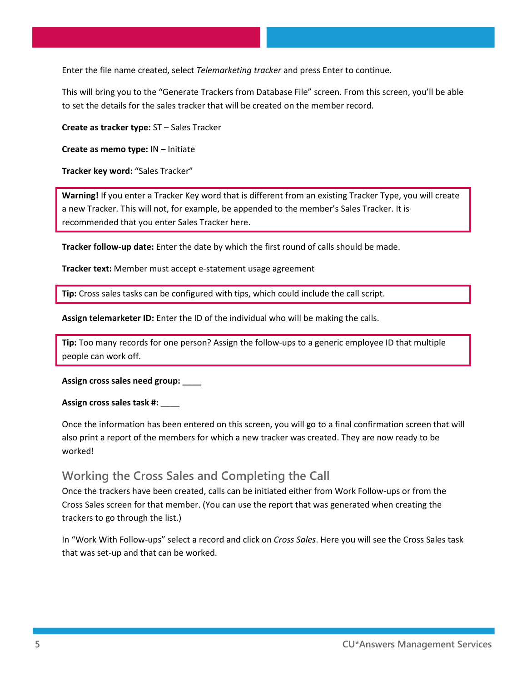Enter the file name created, select *Telemarketing tracker* and press Enter to continue.

This will bring you to the "Generate Trackers from Database File" screen. From this screen, you'll be able to set the details for the sales tracker that will be created on the member record.

**Create as tracker type:** ST – Sales Tracker

**Create as memo type:** IN – Initiate

**Tracker key word:** "Sales Tracker"

**Warning!** If you enter a Tracker Key word that is different from an existing Tracker Type, you will create a new Tracker. This will not, for example, be appended to the member's Sales Tracker. It is recommended that you enter Sales Tracker here.

**Tracker follow-up date:** Enter the date by which the first round of calls should be made.

**Tracker text:** Member must accept e-statement usage agreement

**Tip:** Cross sales tasks can be configured with tips, which could include the call script.

**Assign telemarketer ID:** Enter the ID of the individual who will be making the calls.

**Tip:** Too many records for one person? Assign the follow-ups to a generic employee ID that multiple people can work off.

**Assign cross sales need group:** \_\_\_\_

#### **Assign cross sales task #:** \_\_\_\_

Once the information has been entered on this screen, you will go to a final confirmation screen that will also print a report of the members for which a new tracker was created. They are now ready to be worked!

#### **Working the Cross Sales and Completing the Call**

Once the trackers have been created, calls can be initiated either from Work Follow-ups or from the Cross Sales screen for that member. (You can use the report that was generated when creating the trackers to go through the list.)

In "Work With Follow-ups" select a record and click on *Cross Sales*. Here you will see the Cross Sales task that was set-up and that can be worked.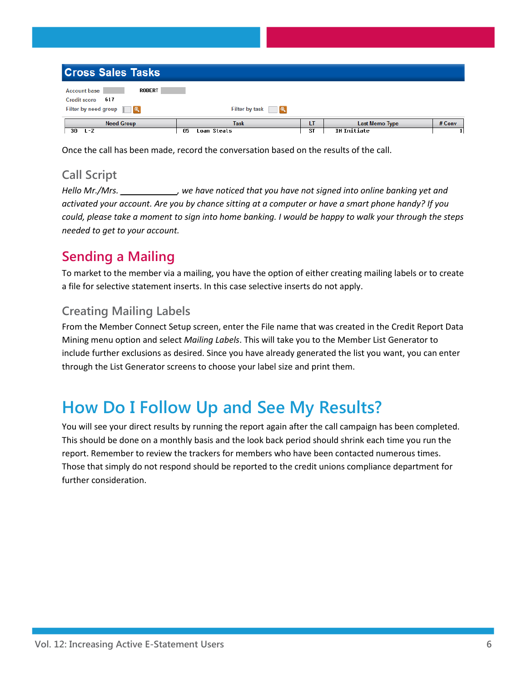| <b>Cross Sales Tasks</b>                                                                  |                                  |                 |                                             |        |  |
|-------------------------------------------------------------------------------------------|----------------------------------|-----------------|---------------------------------------------|--------|--|
| ROBERT<br><b>Account base</b><br>Credit score 617<br>Filter by need group $\Box$ <b>Q</b> | Filter by task   Q               |                 |                                             |        |  |
| <b>Need Group</b><br>30<br>L-Z                                                            | <b>Task</b><br>Loan Steals<br>05 | LT<br><b>ST</b> | <b>Last Memo Type</b><br><b>IN Initiate</b> | # Conv |  |

Once the call has been made, record the conversation based on the results of the call.

### **Call Script**

*Hello Mr./Mrs. \_\_\_\_\_\_\_\_\_\_\_\_, we have noticed that you have not signed into online banking yet and activated your account. Are you by chance sitting at a computer or have a smart phone handy? If you could, please take a moment to sign into home banking. I would be happy to walk your through the steps needed to get to your account.*

## **Sending a Mailing**

To market to the member via a mailing, you have the option of either creating mailing labels or to create a file for selective statement inserts. In this case selective inserts do not apply.

## **Creating Mailing Labels**

From the Member Connect Setup screen, enter the File name that was created in the Credit Report Data Mining menu option and select *Mailing Labels*. This will take you to the Member List Generator to include further exclusions as desired. Since you have already generated the list you want, you can enter through the List Generator screens to choose your label size and print them.

# **How Do I Follow Up and See My Results?**

You will see your direct results by running the report again after the call campaign has been completed. This should be done on a monthly basis and the look back period should shrink each time you run the report. Remember to review the trackers for members who have been contacted numerous times. Those that simply do not respond should be reported to the credit unions compliance department for further consideration.